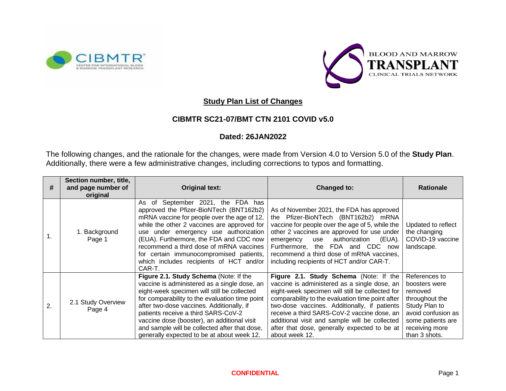



## **Study Plan List of Changes**

## **CIBMTR SC21-07/BMT CTN 2101 COVID v5.0**

## **Dated: 26JAN2022**

The following changes, and the rationale for the changes, were made from Version 4.0 to Version 5.0 of the **Study Plan**. Additionally, there were a few administrative changes, including corrections to typos and formatting.

| #              | Section number, title,<br>and page number of<br>original | <b>Original text:</b>                                                                                                                                                                                                                                                                                                                                                                                                     | Changed to:                                                                                                                                                                                                                                                                                                                                                                                                     | <b>Rationale</b>                                                                                                                                           |
|----------------|----------------------------------------------------------|---------------------------------------------------------------------------------------------------------------------------------------------------------------------------------------------------------------------------------------------------------------------------------------------------------------------------------------------------------------------------------------------------------------------------|-----------------------------------------------------------------------------------------------------------------------------------------------------------------------------------------------------------------------------------------------------------------------------------------------------------------------------------------------------------------------------------------------------------------|------------------------------------------------------------------------------------------------------------------------------------------------------------|
| $\mathbf{1}$ . | 1. Background<br>Page 1                                  | As of September 2021, the FDA has<br>approved the Pfizer-BioNTech (BNT162b2)<br>mRNA vaccine for people over the age of 12,<br>while the other 2 vaccines are approved for<br>use under emergency use authorization<br>(EUA). Furthermore, the FDA and CDC now<br>recommend a third dose of mRNA vaccines<br>for certain immunocompromised patients,<br>which includes recipients of HCT and/or<br>CAR-T.                 | As of November 2021, the FDA has approved<br>the Pfizer-BioNTech (BNT162b2) mRNA<br>vaccine for people over the age of 5, while the<br>other 2 vaccines are approved for use under<br>authorization<br>(EUA).<br>emergency<br>use<br>Furthermore, the FDA and CDC now<br>recommend a third dose of mRNA vaccines,<br>including recipients of HCT and/or CAR-T.                                                  | Updated to reflect<br>the changing<br>COVID-19 vaccine<br>landscape.                                                                                       |
| 2.             | 2.1 Study Overview<br>Page 4                             | Figure 2.1. Study Schema (Note: If the<br>vaccine is administered as a single dose, an<br>eight-week specimen will still be collected<br>for comparability to the evaluation time point<br>after two-dose vaccines. Additionally, if<br>patients receive a third SARS-CoV-2<br>vaccine dose (booster), an additional visit<br>and sample will be collected after that dose,<br>generally expected to be at about week 12. | Figure 2.1. Study Schema (Note: If the<br>vaccine is administered as a single dose, an<br>eight-week specimen will still be collected for<br>comparability to the evaluation time point after<br>two-dose vaccines. Additionally, if patients<br>receive a third SARS-CoV-2 vaccine dose, an<br>additional visit and sample will be collected<br>after that dose, generally expected to be at<br>about week 12. | References to<br>boosters were<br>removed<br>throughout the<br>Study Plan to<br>avoid confusion as<br>some patients are<br>receiving more<br>than 3 shots. |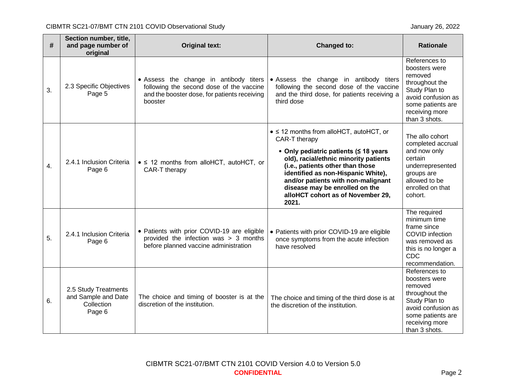| #  | Section number, title,<br>and page number of<br>original            | <b>Original text:</b>                                                                                                                         | Changed to:                                                                                                                                                                                                                                                                                                                                        | <b>Rationale</b>                                                                                                                                           |
|----|---------------------------------------------------------------------|-----------------------------------------------------------------------------------------------------------------------------------------------|----------------------------------------------------------------------------------------------------------------------------------------------------------------------------------------------------------------------------------------------------------------------------------------------------------------------------------------------------|------------------------------------------------------------------------------------------------------------------------------------------------------------|
| 3. | 2.3 Specific Objectives<br>Page 5                                   | • Assess the change in antibody titers<br>following the second dose of the vaccine<br>and the booster dose, for patients receiving<br>booster | • Assess the change in antibody titers<br>following the second dose of the vaccine<br>and the third dose, for patients receiving a<br>third dose                                                                                                                                                                                                   | References to<br>boosters were<br>removed<br>throughout the<br>Study Plan to<br>avoid confusion as<br>some patients are<br>receiving more<br>than 3 shots. |
| 4. | 2.4.1 Inclusion Criteria<br>Page 6                                  | $\bullet$ ≤ 12 months from alloHCT, autoHCT, or<br>CAR-T therapy                                                                              | $\bullet$ ≤ 12 months from alloHCT, autoHCT, or<br>CAR-T therapy<br>• Only pediatric patients (≤ 18 years<br>old), racial/ethnic minority patients<br>(i.e., patients other than those<br>identified as non-Hispanic White),<br>and/or patients with non-malignant<br>disease may be enrolled on the<br>alloHCT cohort as of November 29,<br>2021. | The allo cohort<br>completed accrual<br>and now only<br>certain<br>underrepresented<br>groups are<br>allowed to be<br>enrolled on that<br>cohort.          |
| 5. | 2.4.1 Inclusion Criteria<br>Page 6                                  | • Patients with prior COVID-19 are eligible<br>provided the infection was > 3 months<br>before planned vaccine administration                 | • Patients with prior COVID-19 are eligible<br>once symptoms from the acute infection<br>have resolved                                                                                                                                                                                                                                             | The required<br>minimum time<br>frame since<br>COVID infection<br>was removed as<br>this is no longer a<br><b>CDC</b><br>recommendation.                   |
| 6. | 2.5 Study Treatments<br>and Sample and Date<br>Collection<br>Page 6 | The choice and timing of booster is at the<br>discretion of the institution.                                                                  | The choice and timing of the third dose is at<br>the discretion of the institution.                                                                                                                                                                                                                                                                | References to<br>boosters were<br>removed<br>throughout the<br>Study Plan to<br>avoid confusion as<br>some patients are<br>receiving more<br>than 3 shots. |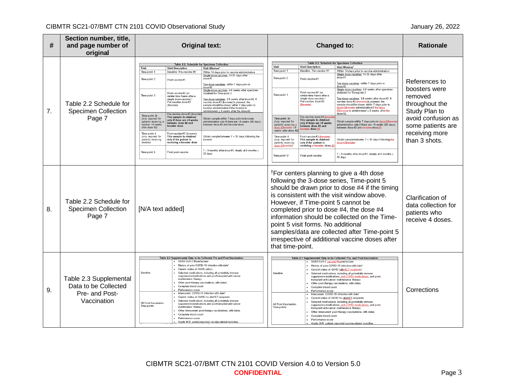## CIBMTR SC21-07/BMT CTN 2101 COVID Observational Study and the study of the study of the study of the study of the study of the study of the study of the study of the study of the study of the study of the study of the stud

| #  | Section number, title,<br>and page number of<br>original                        | <b>Original text:</b>                                                                                                                                                                                                                                                                                                                                                                                                                                                                                                                                                                                                                                                                                                                                                                                                                                                                                                                                                                                                                                                                                                                                                                                                                                                                                                                                                                                                                                                                                                                            |  |                                                                                                                                                                                                                                                                                                                                                                                                                                                                                                                                                                                                                                                                                                                                                                                                                                                                                                                                                                                  | Changed to:                                                                                                                                                                                                                                                                                                                                                                                                                                                                                     |                                                                                                                                                                                                                                                                                                                                                                                                                                                                                                                                                                                                                                                                                                                                                                                                                                                                                   |                                                                                                                                                            | <b>Rationale</b>                                                            |
|----|---------------------------------------------------------------------------------|--------------------------------------------------------------------------------------------------------------------------------------------------------------------------------------------------------------------------------------------------------------------------------------------------------------------------------------------------------------------------------------------------------------------------------------------------------------------------------------------------------------------------------------------------------------------------------------------------------------------------------------------------------------------------------------------------------------------------------------------------------------------------------------------------------------------------------------------------------------------------------------------------------------------------------------------------------------------------------------------------------------------------------------------------------------------------------------------------------------------------------------------------------------------------------------------------------------------------------------------------------------------------------------------------------------------------------------------------------------------------------------------------------------------------------------------------------------------------------------------------------------------------------------------------|--|----------------------------------------------------------------------------------------------------------------------------------------------------------------------------------------------------------------------------------------------------------------------------------------------------------------------------------------------------------------------------------------------------------------------------------------------------------------------------------------------------------------------------------------------------------------------------------------------------------------------------------------------------------------------------------------------------------------------------------------------------------------------------------------------------------------------------------------------------------------------------------------------------------------------------------------------------------------------------------|-------------------------------------------------------------------------------------------------------------------------------------------------------------------------------------------------------------------------------------------------------------------------------------------------------------------------------------------------------------------------------------------------------------------------------------------------------------------------------------------------|-----------------------------------------------------------------------------------------------------------------------------------------------------------------------------------------------------------------------------------------------------------------------------------------------------------------------------------------------------------------------------------------------------------------------------------------------------------------------------------------------------------------------------------------------------------------------------------------------------------------------------------------------------------------------------------------------------------------------------------------------------------------------------------------------------------------------------------------------------------------------------------|------------------------------------------------------------------------------------------------------------------------------------------------------------|-----------------------------------------------------------------------------|
| 7. | Table 2.2 Schedule for<br><b>Specimen Collection</b><br>Page 7                  | Table 2.2. Schedule for Specimen Collectio<br>Visit<br><b>Visit Description</b><br>Visit Window<br>Baseline: Pre-vaccine #1<br>Time-point 1<br>Within 14 days prior to vaccine administration<br>Single dose vaccines: 14-35 days after<br>Time-point 2<br>dose#1<br>Post-vaccine#1<br>Two-dose vaccines: within 7 days prior to<br>dose #2<br>Single dose vaccines: 4-8 weeks after specimen<br>Post-vaccine #2 (or<br>obtained for Time-point 2<br>Time-point 3<br>similar time frame after a<br>single dose vaccine) /<br>Two-dose vaccines: 3-8 weeks after dose #2. If<br>Pre-vaccine dose#3<br>vaccine dose #3 (booster) is planned, the<br>sample should be drawn within 7 days prior to<br>(Booster)<br>booster administration if the booster is<br>administered $\leq 8$ weeks after the dose #2<br>Tre-vaccine dose #3 (booste<br>Time-point 3b<br>This sample is obtained<br>(only required for<br>Obtain sample within 7 days prior to booster<br>only if there are >8 weeks<br>patients receiving<br>administration only if there are >8 weeks (56 days)<br>between dose #2 and<br>booster >8 weeks<br>between dose #2 and booster dose<br>booster dose<br>after dose #2)<br>Post-vaccine #3 (booster)<br>Time-point 4<br>Obtain sample between 7 - 35 days following the<br>(only required for<br>This sample is obtained<br>only if the patient is<br>patients receiving<br>booster<br>booster)<br>receiving a booster dose<br>7 - 9 months after dose #1, ideally at 8 months ±<br>Time-point 5<br>Final post-vaccine<br>28 days |  | Visit<br>Time-point 1<br>Time-point 2<br>Time-point 3<br>Time-point 3b<br>(only required for<br>patients receiving<br>ar >8<br>weeks after dose #2<br>Time-point 4<br>(only required for<br>patients receiving<br>dose #3booster)<br>Time-point 5                                                                                                                                                                                                                                                                                                                                                                                                                                                                                                                                                                                                                                                                                                                                | <b>Visit Description</b><br>Baseline: Pre-vaccine #1<br>Post-vaccine#1<br>Post-vaccine #2 (or<br>similar time frame after a<br>single dose vaccine) /<br>Pre-vaccine dose#3<br>(Booster)<br>Pre-vaccine dose#3-(bog<br>This sample is obtained<br>only if there are >8 weeks<br>etween dose #2 and<br>$e$ r dose #3<br>Post-vaccine #3-(booster)<br>This sample is obtained<br>only if the patient is<br>receiving a booster dose #<br>Final post-vaccine                                       | Table 2.2. Schedule for Specimen Collection<br><b>Visit Window</b><br>Within 14 days prior to vaccine administration<br>Single dose vaccines: 14-35 days after<br>dose#1<br>Two-dose vaccines: within 7 days prior to<br>dose#2<br>Single dose vaccines: 4-8 weeks after specimen<br>obtained for Time-point 2<br>Two-dose vaccines: 3-8 weeks after dose #2. If<br>vaccine dose #3 (booster) is planned, the<br>sample should be drawn within 7 days prior to<br>dose #3booster administration if the dose<br>#3booster is administered < 8 weeks after the<br>$\frac{1}{\text{dose}}$ #2.<br>Obtain sample within 7 days prior to dose #3boost<br>administration only if there are >8 weeks (56 days)<br>between dose #2 and booster dose #3<br>Obtain sample between 7 - 35 days following the<br>dose#3booste<br>7 - 9 months after dose #1, ideally at 8 months ±<br>28 days | References to<br>boosters were<br>removed<br>throughout the<br>Study Plan to<br>avoid confusion as<br>some patients are<br>receiving more<br>than 3 shots. |                                                                             |
| 8. | Table 2.2 Schedule for<br><b>Specimen Collection</b><br>Page 7                  | [N/A text added]                                                                                                                                                                                                                                                                                                                                                                                                                                                                                                                                                                                                                                                                                                                                                                                                                                                                                                                                                                                                                                                                                                                                                                                                                                                                                                                                                                                                                                                                                                                                 |  |                                                                                                                                                                                                                                                                                                                                                                                                                                                                                                                                                                                                                                                                                                                                                                                                                                                                                                                                                                                  | <sup>†</sup> For centers planning to give a 4th dose<br>following the 3-dose series, Time-point 5<br>should be drawn prior to dose #4 if the timing<br>is consistent with the visit window above.<br>However, if Time-point 5 cannot be<br>completed prior to dose #4, the dose #4<br>information should be collected on the Time-<br>point 5 visit forms. No additional<br>samples/data are collected after Time-point 5<br>irrespective of additional vaccine doses after<br>that time-point. |                                                                                                                                                                                                                                                                                                                                                                                                                                                                                                                                                                                                                                                                                                                                                                                                                                                                                   |                                                                                                                                                            | Clarification of<br>data collection for<br>patients who<br>receive 4 doses. |
| 9. | Table 2.3 Supplemental<br>Data to be Collected<br>Pre- and Post-<br>Vaccination | Table 2.3 Supplemental Data to be Collected Pre and Post-Vaccination<br>SARS-CoV-2 Manufacturer<br>History of prior COVID-19 infection with date*<br>Current status of GVHD (allos)<br>Baseline<br>Selected medications, including all potentially immune<br>suppressive medications and posttransplant anti-cancer<br>maintenance therapy<br>Other post-therapy vaccinations, with dates<br>Complete blood count<br>Performance score<br>Intercurrent COVID-19 infection with date<br>Current status of GVHD for alloHCT recipients<br>Selected medications, including all potentially immune<br>All Post-Vaccination<br>suppressive medications and posttransplant anti-cancer<br>Time-points<br>maintenance therapy<br>Other intercurrent post-therapy vaccinations, with dates<br>Complete blood count<br>Performance score<br>Grade III-IV patient reported vaccine-related toxicities                                                                                                                                                                                                                                                                                                                                                                                                                                                                                                                                                                                                                                                      |  | Table 2.3 Supplemental Data to be Collected Pre- and Post-Vaccination<br>· SARS-CoV-2 vaccine Mmanufacture<br>History of prior COVID-19 infection with date'<br>Current status of GVHD (alloHCT recipients)<br><b>Baseline</b><br>Selected medications, including all potentially immune<br>suppressive medications, anti-COVID medications, and post-<br>transplant anti-cancer maintenance therapy<br>Other post-therapy vaccinations, with dates<br>Complete blood count<br>Performance score<br>Intercurrent COVID-19 infection with date<br>Current status of GVHD for alloHCT recipients<br>Selected medications, including all potentially immune<br>All Post-Vaccination<br>suppressive medications, anti-COVID medications, and post-<br>Time-points<br>transplant anti-cancer maintenance therapy<br>Other intercurrent post-therapy vaccinations, with dates<br>Complete blood count<br>Performance score<br>Grade III-IV patient-reported vaccine-related toxicities |                                                                                                                                                                                                                                                                                                                                                                                                                                                                                                 | Corrections                                                                                                                                                                                                                                                                                                                                                                                                                                                                                                                                                                                                                                                                                                                                                                                                                                                                       |                                                                                                                                                            |                                                                             |